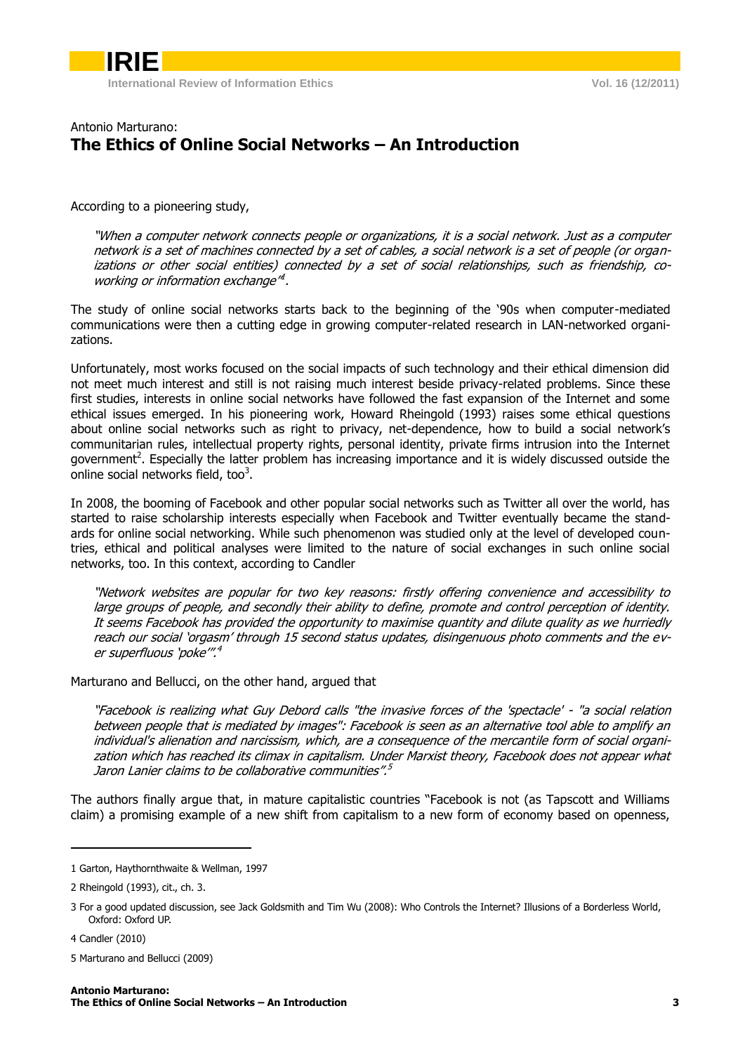

## Antonio Marturano: **The Ethics of Online Social Networks – An Introduction**

According to a pioneering study,

"When a computer network connects people or organizations, it is a social network. Just as a computer network is a set of machines connected by a set of cables, a social network is a set of people (or organizations or other social entities) connected by a set of social relationships, such as friendship, coworking or information exchange<sup>"</sup>.

The study of online social networks starts back to the beginning of the '90s when computer-mediated communications were then a cutting edge in growing computer-related research in LAN-networked organizations.

Unfortunately, most works focused on the social impacts of such technology and their ethical dimension did not meet much interest and still is not raising much interest beside privacy-related problems. Since these first studies, interests in online social networks have followed the fast expansion of the Internet and some ethical issues emerged. In his pioneering work, Howard Rheingold (1993) raises some ethical questions about online social networks such as right to privacy, net-dependence, how to build a social network's communitarian rules, intellectual property rights, personal identity, private firms intrusion into the Internet government<sup>2</sup>. Especially the latter problem has increasing importance and it is widely discussed outside the online social networks field, too $3$ .

In 2008, the booming of Facebook and other popular social networks such as Twitter all over the world, has started to raise scholarship interests especially when Facebook and Twitter eventually became the standards for online social networking. While such phenomenon was studied only at the level of developed countries, ethical and political analyses were limited to the nature of social exchanges in such online social networks, too. In this context, according to Candler

"Network websites are popular for two key reasons: firstly offering convenience and accessibility to large groups of people, and secondly their ability to define, promote and control perception of identity. It seems Facebook has provided the opportunity to maximise quantity and dilute quality as we hurriedly reach our social 'orgasm' through 15 second status updates, disingenuous photo comments and the ever superfluous 'poke'". 4

Marturano and Bellucci, on the other hand, argued that

"Facebook is realizing what Guy Debord calls "the invasive forces of the 'spectacle' - "a social relation between people that is mediated by images": Facebook is seen as an alternative tool able to amplify an individual's alienation and narcissism, which, are a consequence of the mercantile form of social organization which has reached its climax in capitalism. Under Marxist theory, Facebook does not appear what Jaron Lanier claims to be collaborative communities". 5

The authors finally argue that, in mature capitalistic countries "Facebook is not (as Tapscott and Williams claim) a promising example of a new shift from capitalism to a new form of economy based on openness,

-

<sup>1</sup> Garton, Haythornthwaite & Wellman, 1997

<sup>2</sup> Rheingold (1993), cit., ch. 3.

<sup>3</sup> For a good updated discussion, see Jack Goldsmith and Tim Wu (2008): Who Controls the Internet? Illusions of a Borderless World, Oxford: Oxford UP.

<sup>4</sup> Candler (2010)

<sup>5</sup> Marturano and Bellucci (2009)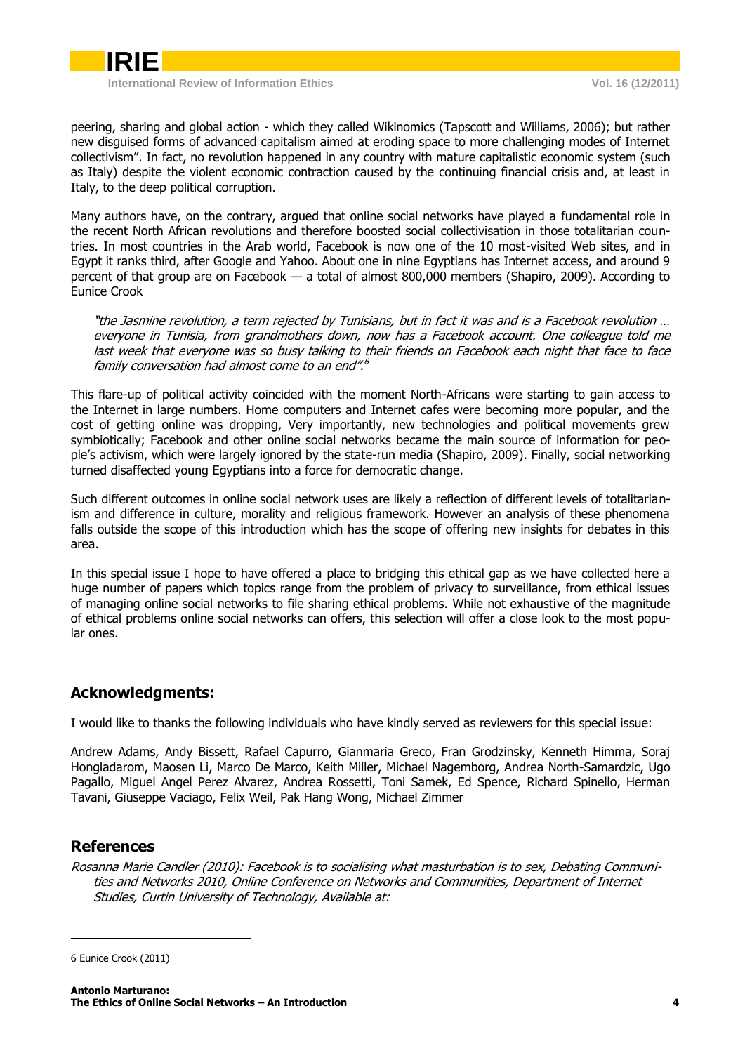peering, sharing and global action - which they called Wikinomics (Tapscott and Williams, 2006); but rather new disguised forms of advanced capitalism aimed at eroding space to more challenging modes of Internet collectivism". In fact, no revolution happened in any country with mature capitalistic economic system (such as Italy) despite the violent economic contraction caused by the continuing financial crisis and, at least in Italy, to the deep political corruption.

Many authors have, on the contrary, argued that online social networks have played a fundamental role in the recent North African revolutions and therefore boosted social collectivisation in those totalitarian countries. In most countries in the Arab world, Facebook is now one of the 10 most-visited Web sites, and in Egypt it ranks third, after Google and Yahoo. About one in nine Egyptians has Internet access, and around 9 percent of that group are on Facebook — a total of almost 800,000 members (Shapiro, 2009). According to Eunice Crook

"the Jasmine revolution, a term rejected by Tunisians, but in fact it was and is a Facebook revolution … everyone in Tunisia, from grandmothers down, now has a Facebook account. One colleague told me last week that everyone was so busy talking to their friends on Facebook each night that face to face family conversation had almost come to an end". 6

This flare-up of political activity coincided with the moment North-Africans were starting to gain access to the Internet in large numbers. Home computers and Internet cafes were becoming more popular, and the cost of getting online was dropping, Very importantly, new technologies and political movements grew symbiotically; Facebook and other online social networks became the main source of information for people's activism, which were largely ignored by the state-run media (Shapiro, 2009). Finally, social networking turned disaffected young Egyptians into a force for democratic change.

Such different outcomes in online social network uses are likely a reflection of different levels of totalitarianism and difference in culture, morality and religious framework. However an analysis of these phenomena falls outside the scope of this introduction which has the scope of offering new insights for debates in this area.

In this special issue I hope to have offered a place to bridging this ethical gap as we have collected here a huge number of papers which topics range from the problem of privacy to surveillance, from ethical issues of managing online social networks to file sharing ethical problems. While not exhaustive of the magnitude of ethical problems online social networks can offers, this selection will offer a close look to the most popular ones.

## **Acknowledgments:**

I would like to thanks the following individuals who have kindly served as reviewers for this special issue:

Andrew Adams, Andy Bissett, Rafael Capurro, Gianmaria Greco, Fran Grodzinsky, Kenneth Himma, Soraj Hongladarom, Maosen Li, Marco De Marco, Keith Miller, Michael Nagemborg, Andrea North-Samardzic, Ugo Pagallo, Miguel Angel Perez Alvarez, Andrea Rossetti, Toni Samek, Ed Spence, Richard Spinello, Herman Tavani, Giuseppe Vaciago, Felix Weil, Pak Hang Wong, Michael Zimmer

## **References**

Rosanna Marie Candler (2010): Facebook is to socialising what masturbation is to sex, Debating Communities and Networks 2010, Online Conference on Networks and Communities, Department of Internet Studies, Curtin University of Technology, Available at:

-

<sup>6</sup> Eunice Crook (2011)